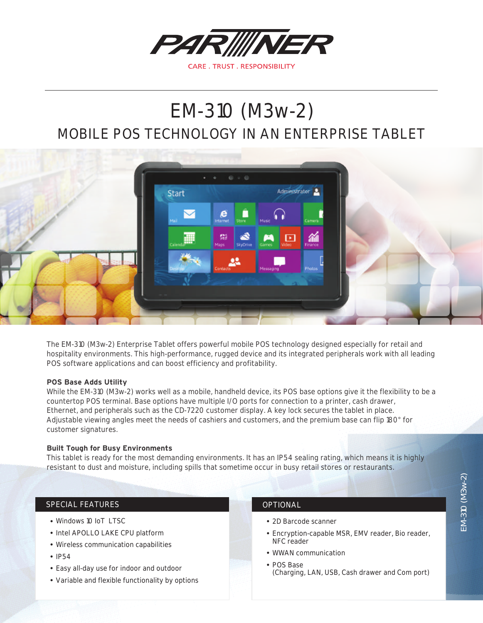

# MOBILE POS TECHNOLOGY IN AN ENTERPRISE TABLET EM-310 (M3w-2)



The EM-310 (M3w-2) Enterprise Tablet offers powerful mobile POS technology designed especially for retail and hospitality environments. This high-performance, rugged device and its integrated peripherals work with all leading POS software applications and can boost efficiency and profitability.

## **POS Base Adds Utility**

While the EM-310 (M3w-2) works well as a mobile, handheld device, its POS base options give it the flexibility to be a countertop POS terminal. Base options have multiple I/O ports for connection to a printer, cash drawer, Ethernet, and peripherals such as the CD-7220 customer display. A key lock secures the tablet in place. Adjustable viewing angles meet the needs of cashiers and customers, and the premium base can flip 180° for customer signatures.

### **Built Tough for Busy Environments**

This tablet is ready for the most demanding environments. It has an IP54 sealing rating, which means it is highly resistant to dust and moisture, including spills that sometime occur in busy retail stores or restaurants.

## SPECIAL FEATURES **OPTIONAL**

- Windows 10 IoT LTSC
- Intel APOLLO LAKE CPU platform
- Wireless communication capabilities
- IP54
- Easy all-day use for indoor and outdoor
- Variable and flexible functionality by options

- 2D Barcode scanner
- Encryption-capable MSR, EMV reader, Bio reader, NFC reader
- WWAN communication
- POS Base (Charging, LAN, USB, Cash drawer and Com port)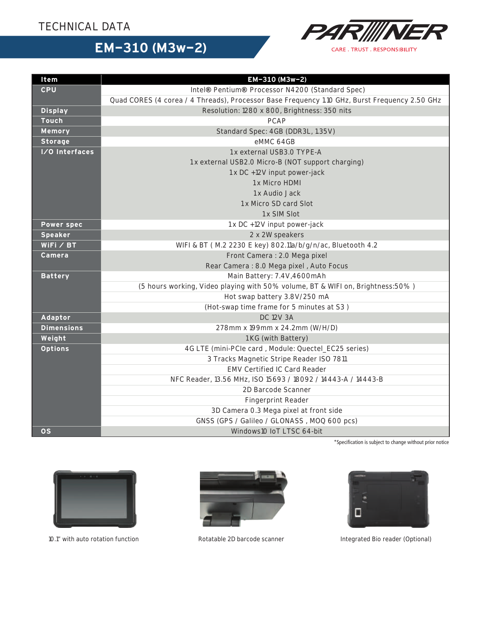## TECHNICAL DATA



# **EM-310 (M3w-2)**

| Item              | EM-310 (M3w-2)                                                                                |  |  |
|-------------------|-----------------------------------------------------------------------------------------------|--|--|
| <b>CPU</b>        | Intel® Pentium® Processor N4200 (Standard Spec)                                               |  |  |
|                   | Quad CORES (4 corea / 4 Threads), Processor Base Frequency 1.10 GHz, Burst Frequency 2.50 GHz |  |  |
| <b>Display</b>    | Resolution: 1280 x 800, Brightness: 350 nits                                                  |  |  |
| <b>Touch</b>      | <b>PCAP</b>                                                                                   |  |  |
| Memory            | Standard Spec: 4GB (DDR3L, 1.35V)                                                             |  |  |
| <b>Storage</b>    | eMMC 64GB                                                                                     |  |  |
| I/O Interfaces    | 1 x external USB3.0 TYPE-A                                                                    |  |  |
|                   | 1 x external USB2.0 Micro-B (NOT support charging)                                            |  |  |
|                   | 1 x DC +12V input power-jack                                                                  |  |  |
|                   | 1 x Micro HDMI                                                                                |  |  |
|                   | 1 x Audio Jack                                                                                |  |  |
|                   | 1 x Micro SD card Slot                                                                        |  |  |
|                   | 1 x SIM Slot                                                                                  |  |  |
| <b>Power spec</b> | 1 x DC +12V input power-jack                                                                  |  |  |
| <b>Speaker</b>    | 2 x 2W speakers                                                                               |  |  |
| WiFi $/$ BT       | WIFI & BT (M.2 2230 E key) 802.11a/b/g/n/ac, Bluetooth 4.2                                    |  |  |
| Camera            | Front Camera: 2.0 Mega pixel                                                                  |  |  |
|                   | Rear Camera: 8.0 Mega pixel, Auto Focus                                                       |  |  |
| <b>Battery</b>    | Main Battery: 7.4V,4600mAh                                                                    |  |  |
|                   | (5 hours working, Video playing with 50% volume, BT & WIFI on, Brightness: 50%)               |  |  |
|                   | Hot swap battery 3.8V/250 mA                                                                  |  |  |
|                   | (Hot-swap time frame for 5 minutes at S3)                                                     |  |  |
| Adaptor           | <b>DC 12V 3A</b>                                                                              |  |  |
| <b>Dimensions</b> | 278mm x 199mm x 24.2mm (W/H/D)                                                                |  |  |
| Weight            | 1 KG (with Battery)                                                                           |  |  |
| <b>Options</b>    | 4G LTE (mini-PCle card, Module: Quectel_EC25 series)                                          |  |  |
|                   | 3 Tracks Magnetic Stripe Reader ISO 7811                                                      |  |  |
|                   | EMV Certified IC Card Reader                                                                  |  |  |
|                   | NFC Reader, 13.56 MHz, ISO 15693 / 18092 / 14443-A / 14443-B                                  |  |  |
|                   | 2D Barcode Scanner                                                                            |  |  |
|                   | Fingerprint Reader                                                                            |  |  |
|                   | 3D Camera 0.3 Mega pixel at front side                                                        |  |  |
|                   | GNSS (GPS / Galileo / GLONASS, MOQ 600 pcs)                                                   |  |  |
| <b>OS</b>         | Windows10 IoT LTSC 64-bit                                                                     |  |  |

\*Specification is subject to change without prior notice







10.1" with auto rotation function **Exercise 2D** barcode scanner **Integrated Bio reader (Optional)**